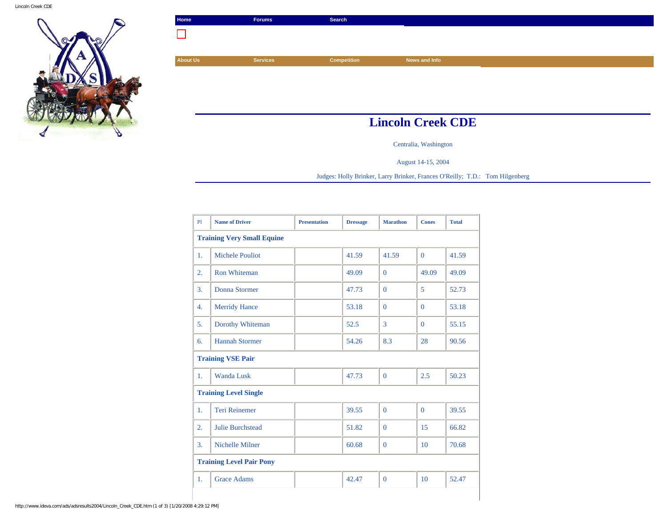

| Home            | <b>Forums</b>   | Search      |                          |
|-----------------|-----------------|-------------|--------------------------|
|                 |                 |             |                          |
|                 |                 |             |                          |
| <b>About Us</b> | <b>Services</b> | Competition | News and Info            |
|                 |                 |             |                          |
|                 |                 |             |                          |
|                 |                 |             |                          |
|                 |                 |             |                          |
|                 |                 |             | <b>Lincoln Creek CDE</b> |

Centralia, Washington

August 14-15, 2004

Judges: Holly Brinker, Larry Brinker, Frances O'Reilly; T.D.: Tom Hilgenberg

| PI                                | <b>Name of Driver</b>   | <b>Presentation</b> | <b>Dressage</b> | <b>Marathon</b> | <b>Cones</b> | <b>Total</b> |  |  |
|-----------------------------------|-------------------------|---------------------|-----------------|-----------------|--------------|--------------|--|--|
| <b>Training Very Small Equine</b> |                         |                     |                 |                 |              |              |  |  |
| 1.                                | <b>Michele Pouliot</b>  |                     | 41.59           | 41.59           | $\Omega$     | 41.59        |  |  |
| 2.                                | <b>Ron Whiteman</b>     |                     | 49.09           | $\Omega$        | 49.09        | 49.09        |  |  |
| 3.                                | Donna Stormer           |                     | 47.73           | $\Omega$        | 5            | 52.73        |  |  |
| 4.                                | <b>Merridy Hance</b>    |                     | 53.18           | $\Omega$        | $\Omega$     | 53.18        |  |  |
| 5.                                | Dorothy Whiteman        |                     | 52.5            | 3               | $\Omega$     | 55.15        |  |  |
| 6.                                | <b>Hannah Stormer</b>   |                     | 54.26           | 8.3             | 28           | 90.56        |  |  |
| <b>Training VSE Pair</b>          |                         |                     |                 |                 |              |              |  |  |
| 1.                                | <b>Wanda Lusk</b>       |                     | 47.73           | $\Omega$        | 2.5          | 50.23        |  |  |
| <b>Training Level Single</b>      |                         |                     |                 |                 |              |              |  |  |
| 1.                                | <b>Teri Reinemer</b>    |                     | 39.55           | $\Omega$        | $\Omega$     | 39.55        |  |  |
| 2.                                | <b>Julie Burchstead</b> |                     | 51.82           | $\Omega$        | 15           | 66.82        |  |  |
| 3.                                | Nichelle Milner         |                     | 60.68           | $\Omega$        | 10           | 70.68        |  |  |
| <b>Training Level Pair Pony</b>   |                         |                     |                 |                 |              |              |  |  |
| 1.                                | <b>Grace Adams</b>      |                     | 42.47           | $\mathbf{0}$    | 10           | 52.47        |  |  |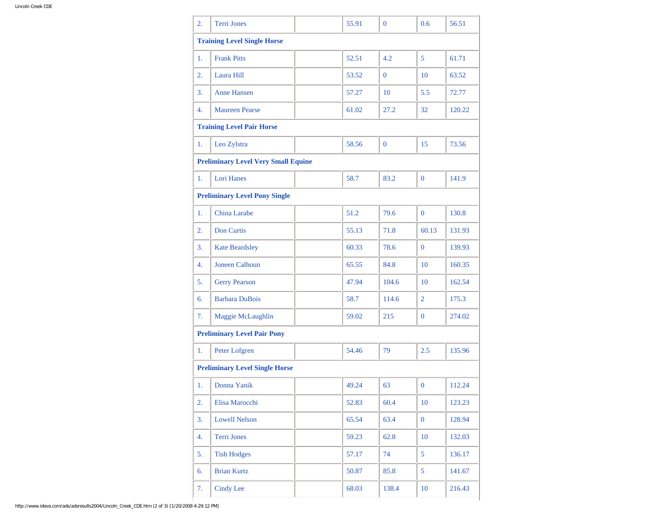| 2.                                   | <b>Terri Jones</b>                         |  | 55.91 | $\theta$ | 0.6              | 56.51  |  |  |
|--------------------------------------|--------------------------------------------|--|-------|----------|------------------|--------|--|--|
|                                      | <b>Training Level Single Horse</b>         |  |       |          |                  |        |  |  |
| 1.                                   | <b>Frank Pitts</b>                         |  | 52.51 | 4.2      | 5                | 61.71  |  |  |
| $\overline{2}$ .                     | Laura Hill                                 |  | 53.52 | $\Omega$ | 10               | 63.52  |  |  |
| 3.                                   | <b>Anne Hansen</b>                         |  | 57.27 | 10       | 5.5              | 72.77  |  |  |
| 4.                                   | <b>Maureen Pearse</b>                      |  | 61.02 | 27.2     | 32               | 120.22 |  |  |
|                                      | <b>Training Level Pair Horse</b>           |  |       |          |                  |        |  |  |
| 1.                                   | Leo Zylstra                                |  | 58.56 | $\bf{0}$ | 15               | 73.56  |  |  |
|                                      | <b>Preliminary Level Very Small Equine</b> |  |       |          |                  |        |  |  |
| 1.                                   | Lori Hanes                                 |  | 58.7  | 83.2     | $\overline{0}$   | 141.9  |  |  |
| <b>Preliminary Level Pony Single</b> |                                            |  |       |          |                  |        |  |  |
| 1.                                   | <b>China Larabe</b>                        |  | 51.2  | 79.6     | $\mathbf{0}$     | 130.8  |  |  |
| $\overline{2}$ .                     | <b>Don Curtis</b>                          |  | 55.13 | 71.8     | 60.13            | 131.93 |  |  |
| 3.                                   | <b>Kate Beardsley</b>                      |  | 60.33 | 78.6     | $\overline{0}$   | 139.93 |  |  |
| 4.                                   | <b>Joneen Calhoun</b>                      |  | 65.55 | 84.8     | 10               | 160.35 |  |  |
| 5.                                   | <b>Gerry Pearson</b>                       |  | 47.94 | 104.6    | 10               | 162.54 |  |  |
| 6.                                   | <b>Barbara DuBois</b>                      |  | 58.7  | 114.6    | $\overline{2}$   | 175.3  |  |  |
| 7.                                   | Maggie McLaughlin                          |  | 59.02 | 215      | $\overline{0}$   | 274.02 |  |  |
|                                      | <b>Preliminary Level Pair Pony</b>         |  |       |          |                  |        |  |  |
| 1.                                   | Peter Lofgren                              |  | 54.46 | 79       | 2.5              | 135.96 |  |  |
|                                      | <b>Preliminary Level Single Horse</b>      |  |       |          |                  |        |  |  |
| 1.                                   | Donna Yanik                                |  | 49.24 | 63       | $\boldsymbol{0}$ | 112.24 |  |  |
| 2.                                   | Elisa Marocchi                             |  | 52.83 | 60.4     | 10               | 123.23 |  |  |
| 3.                                   | <b>Lowell Nelson</b>                       |  | 65.54 | 63.4     | $\mathbf{0}$     | 128.94 |  |  |
| 4.                                   | Terri Jones                                |  | 59.23 | 62.8     | 10               | 132.03 |  |  |
| 5.                                   | <b>Tish Hodges</b>                         |  | 57.17 | 74       | 5                | 136.17 |  |  |
| 6.                                   | <b>Brian Kurtz</b>                         |  | 50.87 | 85.8     | 5                | 141.67 |  |  |
| 7.                                   | <b>Cindy Lee</b>                           |  | 68.03 | 138.4    | $10\,$           | 216.43 |  |  |